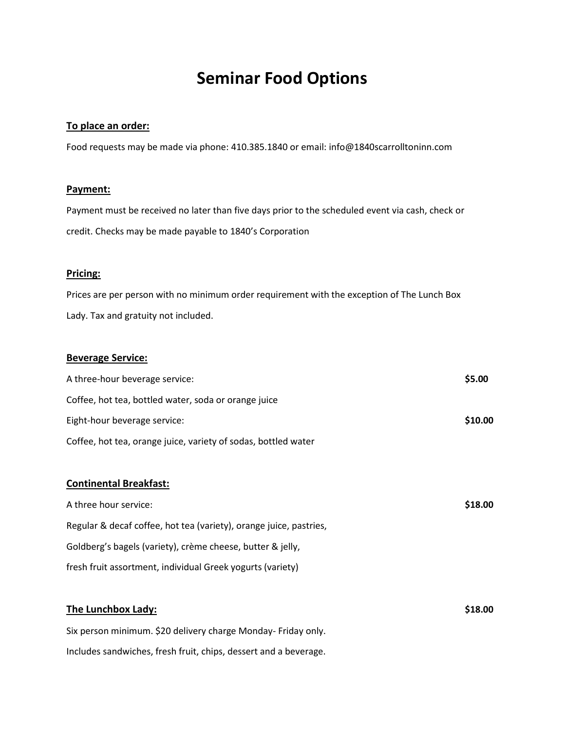# **Seminar Food Options**

# **To place an order:**

Food requests may be made via phone: 410.385.1840 or email: info@1840scarrolltoninn.com

# **Payment:**

Payment must be received no later than five days prior to the scheduled event via cash, check or credit. Checks may be made payable to 1840's Corporation

# **Pricing:**

Prices are per person with no minimum order requirement with the exception of The Lunch Box Lady. Tax and gratuity not included.

# **Beverage Service:**

| A three-hour beverage service:                                 | \$5.00  |
|----------------------------------------------------------------|---------|
| Coffee, hot tea, bottled water, soda or orange juice           |         |
| Eight-hour beverage service:                                   | \$10.00 |
| Coffee, hot tea, orange juice, variety of sodas, bottled water |         |

# **Continental Breakfast:**

| A three hour service:                                              | \$18.00 |
|--------------------------------------------------------------------|---------|
| Regular & decaf coffee, hot tea (variety), orange juice, pastries, |         |
| Goldberg's bagels (variety), crème cheese, butter & jelly,         |         |
| fresh fruit assortment, individual Greek yogurts (variety)         |         |

| The Lunchbox Lady:                                               | \$18.00 |
|------------------------------------------------------------------|---------|
| Six person minimum. \$20 delivery charge Monday- Friday only.    |         |
| Includes sandwiches, fresh fruit, chips, dessert and a beverage. |         |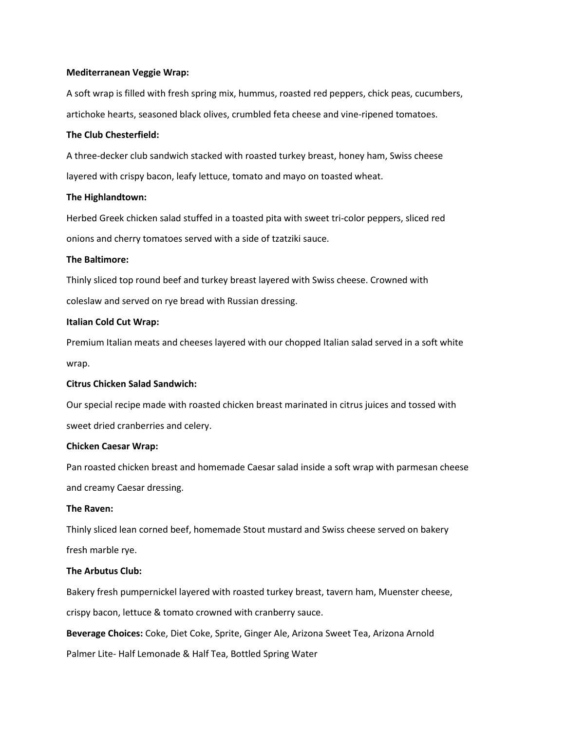#### **Mediterranean Veggie Wrap:**

A soft wrap is filled with fresh spring mix, hummus, roasted red peppers, chick peas, cucumbers, artichoke hearts, seasoned black olives, crumbled feta cheese and vine-ripened tomatoes.

#### **The Club Chesterfield:**

A three-decker club sandwich stacked with roasted turkey breast, honey ham, Swiss cheese layered with crispy bacon, leafy lettuce, tomato and mayo on toasted wheat.

#### **The Highlandtown:**

Herbed Greek chicken salad stuffed in a toasted pita with sweet tri-color peppers, sliced red onions and cherry tomatoes served with a side of tzatziki sauce.

#### **The Baltimore:**

Thinly sliced top round beef and turkey breast layered with Swiss cheese. Crowned with coleslaw and served on rye bread with Russian dressing.

#### **Italian Cold Cut Wrap:**

Premium Italian meats and cheeses layered with our chopped Italian salad served in a soft white wrap.

#### **Citrus Chicken Salad Sandwich:**

Our special recipe made with roasted chicken breast marinated in citrus juices and tossed with sweet dried cranberries and celery.

#### **Chicken Caesar Wrap:**

Pan roasted chicken breast and homemade Caesar salad inside a soft wrap with parmesan cheese and creamy Caesar dressing.

#### **The Raven:**

Thinly sliced lean corned beef, homemade Stout mustard and Swiss cheese served on bakery fresh marble rye.

#### **The Arbutus Club:**

Bakery fresh pumpernickel layered with roasted turkey breast, tavern ham, Muenster cheese, crispy bacon, lettuce & tomato crowned with cranberry sauce.

**Beverage Choices:** Coke, Diet Coke, Sprite, Ginger Ale, Arizona Sweet Tea, Arizona Arnold

Palmer Lite- Half Lemonade & Half Tea, Bottled Spring Water